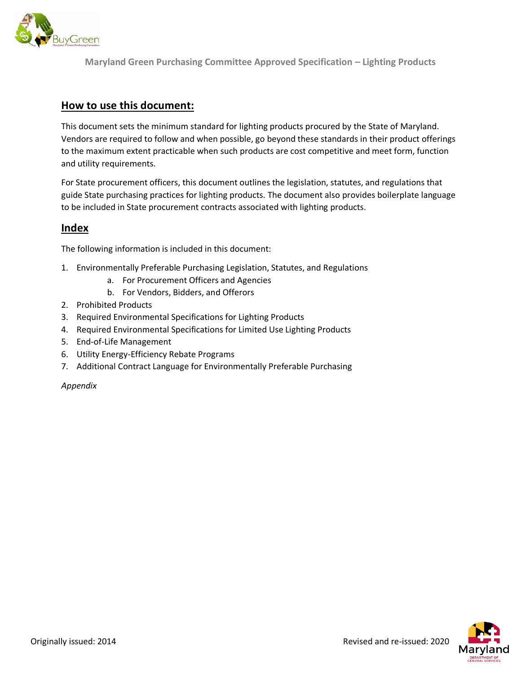

**Maryland Green Purchasing Committee Approved Specification – Lighting Products**

## **How to use this document:**

This document sets the minimum standard for lighting products procured by the State of Maryland. Vendors are required to follow and when possible, go beyond these standards in their product offerings to the maximum extent practicable when such products are cost competitive and meet form, function and utility requirements.

For State procurement officers, this document outlines the legislation, statutes, and regulations that guide State purchasing practices for lighting products. The document also provides boilerplate language to be included in State procurement contracts associated with lighting products.

# **Index**

The following information is included in this document:

- 1. Environmentally Preferable Purchasing Legislation, Statutes, and Regulations
	- a. For Procurement Officers and Agencies
	- b. For Vendors, Bidders, and Offerors
- 2. Prohibited Products
- 3. Required Environmental Specifications for Lighting Products
- 4. Required Environmental Specifications for Limited Use Lighting Products
- 5. End-of-Life Management
- 6. Utility Energy-Efficiency Rebate Programs
- 7. Additional Contract Language for Environmentally Preferable Purchasing

*Appendix* 

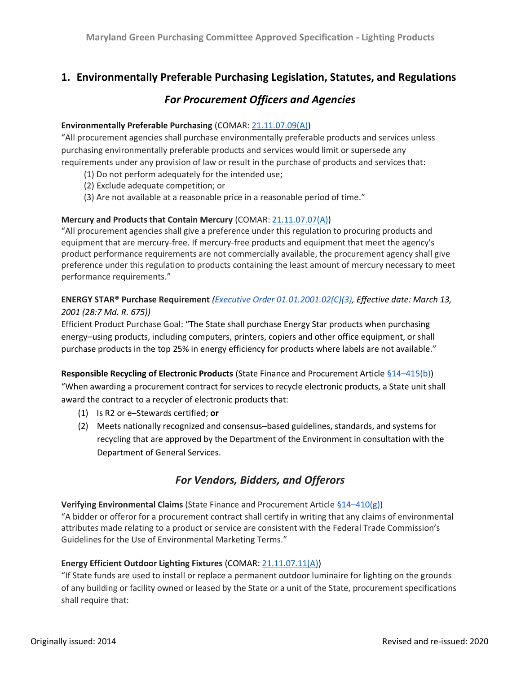# **1. Environmentally Preferable Purchasing Legislation, Statutes, and Regulations**

## *For Procurement Officers and Agencies*

#### **Environmentally Preferable Purchasing** (COMAR: [21.11.07.09\(](http://www.dsd.state.md.us/comar/comarhtml/21/21.11.07.09.htm)A))

"All procurement agencies shall purchase environmentally preferable products and services unless purchasing environmentally preferable products and services would limit or supersede any requirements under any provision of law or result in the purchase of products and services that:

- (1) Do not perform adequately for the intended use;
- (2) Exclude adequate competition; or
- (3) Are not available at a reasonable price in a reasonable period of time."

### **Mercury and Products that Contain Mercury** (COMAR: [21.11.07.07\(](http://www.dsd.state.md.us/comar/comarhtml/21/21.11.07.07.htm)A))

"All procurement agencies shall give a preference under this regulation to procuring products and equipment that are mercury-free. If mercury-free products and equipment that meet the agency's product performance requirements are not commercially available, the procurement agency shall give preference under this regulation to products containing the least amount of mercury necessary to meet performance requirements."

## **[ENERGY STAR®](https://www.energystar.gov/productfinder/product/certified-light-bulbs/results) Purchase Requirement** *[\(Executive Order 01.01.2001.02\(C\)\(3\),](http://www.dsd.state.md.us/comar/comarhtml/01/01.01.2001.02.htm) Effective date: March 13, 2001 (28:7 Md. R. 675))*

Efficient Product Purchase Goal: "The State shall purchase Energy Star products when purchasing energy–using products, including computers, printers, copiers and other office equipment, or shall purchase products in the top 25% in energy efficiency for products where labels are not available."

#### **Responsible Recycling of Electronic Products** (State Finance and Procurement Article §14–[415\(](http://mgaleg.maryland.gov/mgawebsite/Laws/StatuteText?article=gsf§ion=14-415&enactments=False&archived=False)b))

"When awarding a procurement contract for services to recycle electronic products, a State unit shall award the contract to a recycler of electronic products that:

- (1) Is R2 or e–Stewards certified; **or**
- (2) Meets nationally recognized and consensus–based guidelines, standards, and systems for recycling that are approved by the Department of the Environment in consultation with the Department of General Services.

# *For Vendors, Bidders, and Offerors*

**Verifying Environmental Claims** (State Finance and Procurement Article §14–[410\(](http://mgaleg.maryland.gov/mgawebsite/Laws/StatuteText?article=gsf§ion=14-410&enactments=False&archived=False)g))

"A bidder or offeror for a procurement contract shall certify in writing that any claims of environmental attributes made relating to a product or service are consistent with the Federal Trade Commission's Guidelines for the Use of Environmental Marketing Terms."

#### **Energy Efficient Outdoor Lighting Fixtures** (COMAR: [21.11.07.11\(](http://www.dsd.state.md.us/comar/comarhtml/21/21.11.07.11.htm)A))

"If State funds are used to install or replace a permanent outdoor luminaire for lighting on the grounds of any building or facility owned or leased by the State or a unit of the State, procurement specifications shall require that: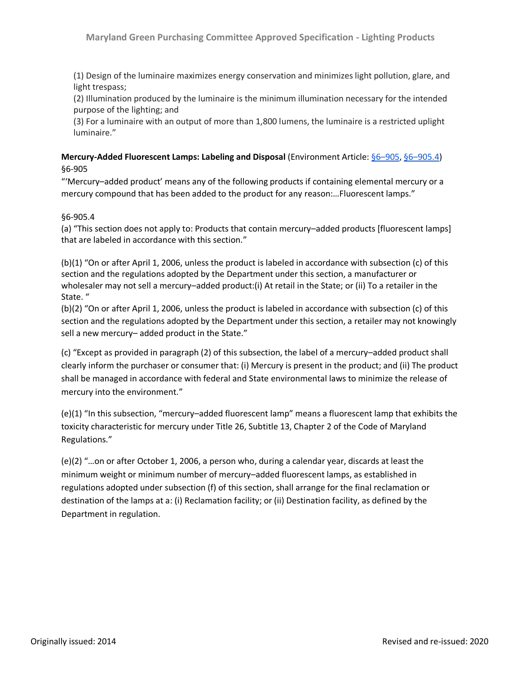(1) Design of the luminaire maximizes energy conservation and minimizes light pollution, glare, and light trespass;

(2) Illumination produced by the luminaire is the minimum illumination necessary for the intended purpose of the lighting; and

(3) For a luminaire with an output of more than 1,800 lumens, the luminaire is a restricted uplight luminaire."

## **Mercury-Added Fluorescent Lamps: Labeling and Disposal** (Environment Article: §6–[905,](http://mgaleg.maryland.gov/mgawebsite/Laws/StatuteText?article=gen§ion=6-905&enactments=false) §6–[905.4\)](http://mgaleg.maryland.gov/mgawebsite/Laws/StatuteText?article=gen§ion=6-905.4&enactments=False&archived=False) §6-905

"'Mercury–added product' means any of the following products if containing elemental mercury or a mercury compound that has been added to the product for any reason:…Fluorescent lamps."

### §6-905.4

(a) "This section does not apply to: Products that contain mercury–added products [fluorescent lamps] that are labeled in accordance with this section."

(b)(1) "On or after April 1, 2006, unless the product is labeled in accordance with subsection (c) of this section and the regulations adopted by the Department under this section, a manufacturer or wholesaler may not sell a mercury–added product:(i) At retail in the State; or (ii) To a retailer in the State. "

(b)(2) "On or after April 1, 2006, unless the product is labeled in accordance with subsection (c) of this section and the regulations adopted by the Department under this section, a retailer may not knowingly sell a new mercury– added product in the State."

(c) "Except as provided in paragraph (2) of this subsection, the label of a mercury–added product shall clearly inform the purchaser or consumer that: (i) Mercury is present in the product; and (ii) The product shall be managed in accordance with federal and State environmental laws to minimize the release of mercury into the environment."

(e)(1) "In this subsection, "mercury–added fluorescent lamp" means a fluorescent lamp that exhibits the toxicity characteristic for mercury under Title 26, Subtitle 13, Chapter 2 of the Code of Maryland Regulations."

(e)(2) "…on or after October 1, 2006, a person who, during a calendar year, discards at least the minimum weight or minimum number of mercury–added fluorescent lamps, as established in regulations adopted under subsection (f) of this section, shall arrange for the final reclamation or destination of the lamps at a: (i) Reclamation facility; or (ii) Destination facility, as defined by the Department in regulation.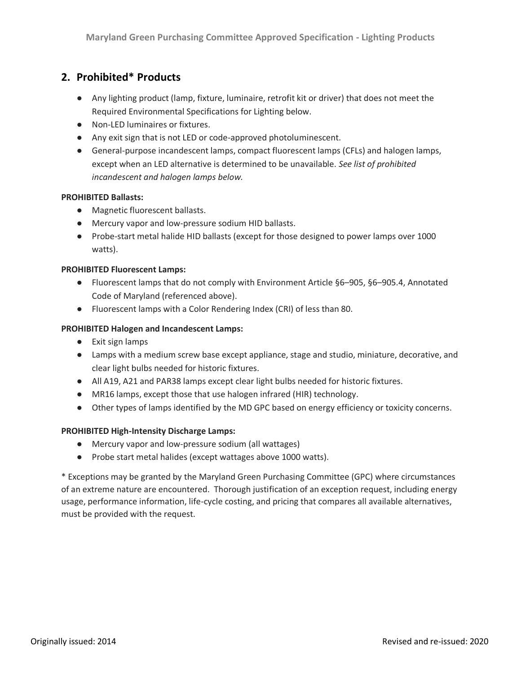# **2. Prohibited\* Products**

- Any lighting product (lamp, fixture, luminaire, retrofit kit or driver) that does not meet the Required Environmental Specifications for Lighting below.
- Non-LED luminaires or fixtures.
- Any exit sign that is not LED or code-approved photoluminescent.
- General-purpose incandescent lamps, compact fluorescent lamps (CFLs) and halogen lamps, except when an LED alternative is determined to be unavailable. *See list of prohibited incandescent and halogen lamps below.*

#### **PROHIBITED Ballasts:**

- Magnetic fluorescent ballasts.
- Mercury vapor and low-pressure sodium HID ballasts.
- Probe-start metal halide HID ballasts (except for those designed to power lamps over 1000 watts).

#### **PROHIBITED Fluorescent Lamps:**

- Fluorescent lamps that do not comply with Environment Article §6–905, §6–905.4, Annotated Code of Maryland (referenced above).
- Fluorescent lamps with a Color Rendering Index (CRI) of less than 80.

### **PROHIBITED Halogen and Incandescent Lamps:**

- Exit sign lamps
- Lamps with a medium screw base except appliance, stage and studio, miniature, decorative, and clear light bulbs needed for historic fixtures.
- All A19, A21 and PAR38 lamps except clear light bulbs needed for historic fixtures.
- MR16 lamps, except those that use halogen infrared (HIR) technology.
- Other types of lamps identified by the MD GPC based on energy efficiency or toxicity concerns.

#### **PROHIBITED High-Intensity Discharge Lamps:**

- Mercury vapor and low-pressure sodium (all wattages)
- Probe start metal halides (except wattages above 1000 watts).

\* Exceptions may be granted by the Maryland Green Purchasing Committee (GPC) where circumstances of an extreme nature are encountered. Thorough justification of an exception request, including energy usage, performance information, life-cycle costing, and pricing that compares all available alternatives, must be provided with the request.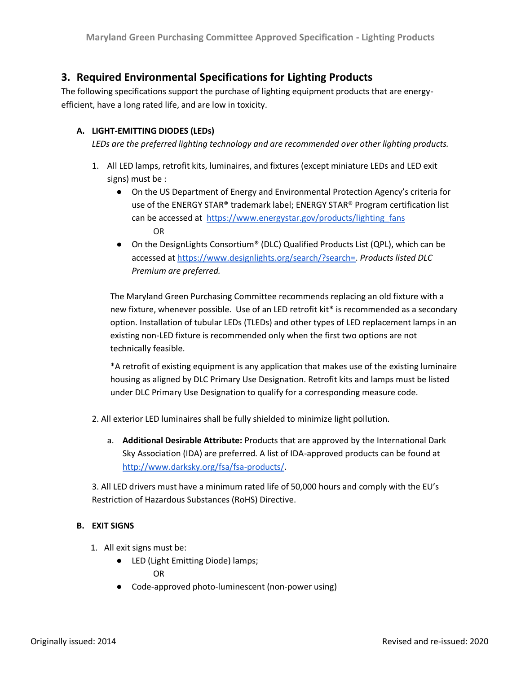# **3. Required Environmental Specifications for Lighting Products**

The following specifications support the purchase of lighting equipment products that are energyefficient, have a long rated life, and are low in toxicity.

## **A. LIGHT-EMITTING DIODES (LEDs)**

*LEDs are the preferred lighting technology and are recommended over other lighting products.* 

- 1. All LED lamps, retrofit kits, luminaires, and fixtures (except miniature LEDs and LED exit signs) must be :
	- On the US Department of Energy and Environmental Protection Agency's criteria for use of the ENERGY STAR® trademark label; [ENERGY STAR® Program c](https://www.energystar.gov/productfinder/product/certified-light-bulbs/results)ertification list can be accessed at https://www.energystar.gov/products/lighting fans OR
	- $\bullet$  On the DesignLights Consortium<sup>®</sup> (DLC) Qualified Products List (QPL), which can be accessed a[t https://www.designlights.org/search/?search=](https://www.designlights.org/search/?search=)[.](https://www.designlights.org/solid-state-lighting/qualification-requirements/product-eligibility/) *[Products listed DLC](https://www.designlights.org/solid-state-lighting/qualification-requirements/product-eligibility/)  [Premium are preferred.](https://www.designlights.org/solid-state-lighting/qualification-requirements/product-eligibility/)*

The Maryland Green Purchasing Committee recommends replacing an old fixture with a new fixture, whenever possible. Use of an LED retrofit kit\* is recommended as a secondary option. Installation of tubular LEDs (TLEDs) and other types of LED replacement lamps in an existing non-LED fixture is recommended only when the first two options are not technically feasible.

\*A retrofit of existing equipment is any application that makes use of the existing luminaire housing as aligned by DLC Primary Use Designation. Retrofit kits and lamps must be listed under DLC Primary Use Designation to qualify for a corresponding measure code.

2. All exterior LED luminaires shall be fully shielded to minimize light pollution.

a. **Additional Desirable Attribute:** Products that are approved by the International Dark Sky Association (IDA) are preferred. A list of IDA-approved products can be found at [http://www.darksky.org/fsa/fsa-products/.](http://www.darksky.org/fsa/fsa-products/)

3. All LED drivers must have a minimum rated life of 50,000 hours and comply with the EU's Restriction of Hazardous Substances (RoHS) Directive.

## **B. EXIT SIGNS**

- 1. All exit signs must be:
	- LED (Light Emitting Diode) lamps; OR
	- Code-approved photo-luminescent (non-power using)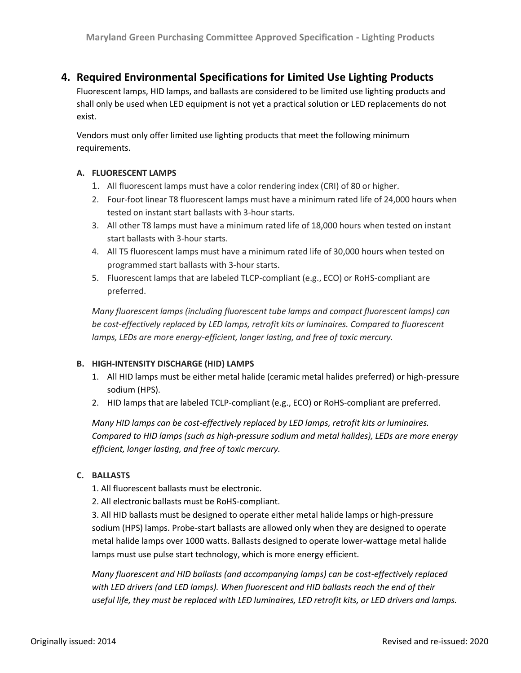# **4. Required Environmental Specifications for Limited Use Lighting Products**

Fluorescent lamps, HID lamps, and ballasts are considered to be limited use lighting products and shall only be used when LED equipment is not yet a practical solution or LED replacements do not exist.

Vendors must only offer limited use lighting products that meet the following minimum requirements.

### **A. FLUORESCENT LAMPS**

- 1. All fluorescent lamps must have a color rendering index (CRI) of 80 or higher.
- 2. Four-foot linear T8 fluorescent lamps must have a minimum rated life of 24,000 hours when tested on instant start ballasts with 3-hour starts.
- 3. All other T8 lamps must have a minimum rated life of 18,000 hours when tested on instant start ballasts with 3-hour starts.
- 4. All T5 fluorescent lamps must have a minimum rated life of 30,000 hours when tested on programmed start ballasts with 3-hour starts.
- 5. Fluorescent lamps that are labeled TLCP-compliant (e.g., ECO) or RoHS-compliant are preferred.

*Many fluorescent lamps (including fluorescent tube lamps and compact fluorescent lamps) can be cost-effectively replaced by LED lamps, retrofit kits or luminaires. Compared to fluorescent lamps, LEDs are more energy-efficient, longer lasting, and free of toxic mercury.*

## **B. HIGH-INTENSITY DISCHARGE (HID) LAMPS**

- 1. All HID lamps must be either metal halide (ceramic metal halides preferred) or high-pressure sodium (HPS).
- 2. HID lamps that are labeled TCLP-compliant (e.g., ECO) or RoHS-compliant are preferred.

*Many HID lamps can be cost-effectively replaced by LED lamps, retrofit kits or luminaires. Compared to HID lamps (such as high-pressure sodium and metal halides), LEDs are more energy efficient, longer lasting, and free of toxic mercury.*

## **C. BALLASTS**

- 1. All fluorescent ballasts must be electronic.
- 2. All electronic ballasts must be RoHS-compliant.

3. All HID ballasts must be designed to operate either metal halide lamps or high-pressure sodium (HPS) lamps. Probe-start ballasts are allowed only when they are designed to operate metal halide lamps over 1000 watts. Ballasts designed to operate lower-wattage metal halide lamps must use pulse start technology, which is more energy efficient.

*Many fluorescent and HID ballasts (and accompanying lamps) can be cost-effectively replaced with LED drivers (and LED lamps). When fluorescent and HID ballasts reach the end of their useful life, they must be replaced with LED luminaires, LED retrofit kits, or LED drivers and lamps.*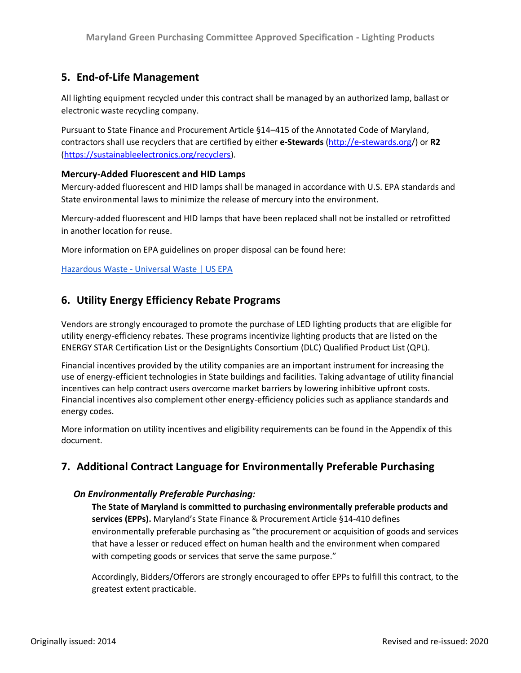# **5. End-of-Life Management**

All lighting equipment recycled under this contract shall be managed by an authorized lamp, ballast or electronic waste recycling company.

Pursuant to State Finance and Procurement Article §14–415 of the Annotated Code of Maryland, contractors shall use recyclers that are certified by either **e-Stewards** [\(http://e-stewards.org/](http://e-stewards.org/)) or **R2**  [\(https://sustainableelectronics.org/recyclers\)](https://sustainableelectronics.org/recyclers).

## **Mercury-Added Fluorescent and HID Lamps**

Mercury-added fluorescent and HID lamps shall be managed in accordance with U.S. EPA standards and State environmental laws to minimize the release of mercury into the environment.

Mercury-added fluorescent and HID lamps that have been replaced shall not be installed or retrofitted in another location for reuse.

More information on EPA guidelines on proper disposal can be found here:

Hazardous Waste - [Universal Waste | US EPA](https://www.epa.gov/hw/universal-waste#types)

# **6. Utility Energy Efficiency Rebate Programs**

Vendors are strongly encouraged to promote the purchase of LED lighting products that are eligible for utility energy-efficiency rebates. These programs incentivize lighting products that are listed on the ENERGY STAR Certification List or the DesignLights Consortium (DLC) Qualified Product List (QPL).

Financial incentives provided by the utility companies are an important instrument for increasing the use of energy-efficient technologies in State buildings and facilities. Taking advantage of utility financial incentives can help contract users overcome market barriers by lowering inhibitive upfront costs. Financial incentives also complement other energy-efficiency policies such as appliance standards and energy codes.

More information on utility incentives and eligibility requirements can be found in the Appendix of this document.

# **7. Additional Contract Language for Environmentally Preferable Purchasing**

#### *On Environmentally Preferable Purchasing:*

**The State of Maryland is committed to purchasing environmentally preferable products and services (EPPs).** Maryland's State Finance & Procurement Article §14-410 defines environmentally preferable purchasing as "the procurement or acquisition of goods and services that have a lesser or reduced effect on human health and the environment when compared with competing goods or services that serve the same purpose."

Accordingly, Bidders/Offerors are strongly encouraged to offer EPPs to fulfill this contract, to the greatest extent practicable.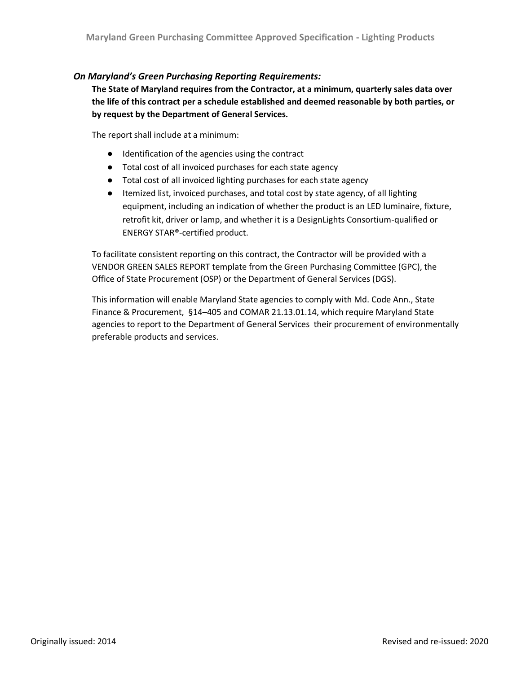## *On Maryland's Green Purchasing Reporting Requirements:*

**The State of Maryland requires from the Contractor, at a minimum, quarterly sales data over the life of this contract per a schedule established and deemed reasonable by both parties, or by request by the Department of General Services.** 

The report shall include at a minimum:

- Identification of the agencies using the contract
- Total cost of all invoiced purchases for each state agency
- Total cost of all invoiced lighting purchases for each state agency
- Itemized list, invoiced purchases, and total cost by state agency, of all lighting equipment, including an indication of whether the product is an LED luminaire, fixture, retrofit kit, driver or lamp, and whether it is a DesignLights Consortium-qualified or ENERGY STAR®-certified product.

To facilitate consistent reporting on this contract, the Contractor will be provided with a VENDOR GREEN SALES REPORT template from the Green Purchasing Committee (GPC), the Office of State Procurement (OSP) or the Department of General Services (DGS).

This information will enable Maryland State agencies to comply with Md. Code Ann., State Finance & Procurement, §14–405 and COMAR 21.13.01.14, which require Maryland State agencies to report to the Department of General Services their procurement of environmentally preferable products and services.